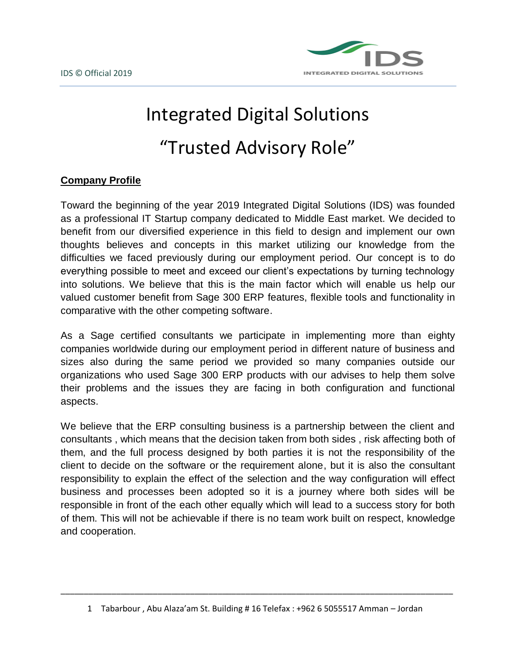

# Integrated Digital Solutions "Trusted Advisory Role"

## **Company Profile**

Toward the beginning of the year 2019 Integrated Digital Solutions (IDS) was founded as a professional IT Startup company dedicated to Middle East market. We decided to benefit from our diversified experience in this field to design and implement our own thoughts believes and concepts in this market utilizing our knowledge from the difficulties we faced previously during our employment period. Our concept is to do everything possible to meet and exceed our client's expectations by turning technology into solutions. We believe that this is the main factor which will enable us help our valued customer benefit from Sage 300 ERP features, flexible tools and functionality in comparative with the other competing software.

As a Sage certified consultants we participate in implementing more than eighty companies worldwide during our employment period in different nature of business and sizes also during the same period we provided so many companies outside our organizations who used Sage 300 ERP products with our advises to help them solve their problems and the issues they are facing in both configuration and functional aspects.

We believe that the ERP consulting business is a partnership between the client and consultants , which means that the decision taken from both sides , risk affecting both of them, and the full process designed by both parties it is not the responsibility of the client to decide on the software or the requirement alone, but it is also the consultant responsibility to explain the effect of the selection and the way configuration will effect business and processes been adopted so it is a journey where both sides will be responsible in front of the each other equally which will lead to a success story for both of them. This will not be achievable if there is no team work built on respect, knowledge and cooperation.

\_\_\_\_\_\_\_\_\_\_\_\_\_\_\_\_\_\_\_\_\_\_\_\_\_\_\_\_\_\_\_\_\_\_\_\_\_\_\_\_\_\_\_\_\_\_\_\_\_\_\_\_\_\_\_\_\_\_\_\_\_\_\_\_\_\_\_\_\_\_\_\_\_\_\_\_\_\_\_\_\_\_\_\_\_

<sup>1</sup> Tabarbour , Abu Alaza'am St. Building # 16 Telefax : +962 6 5055517 Amman – Jordan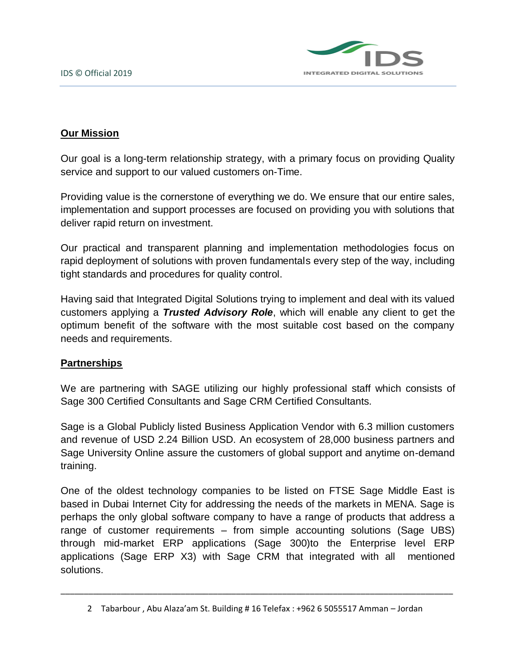

## **Our Mission**

Our goal is a long-term relationship strategy, with a primary focus on providing Quality service and support to our valued customers on-Time.

Providing value is the cornerstone of everything we do. We ensure that our entire sales, implementation and support processes are focused on providing you with solutions that deliver rapid return on investment.

Our practical and transparent planning and implementation methodologies focus on rapid deployment of solutions with proven fundamentals every step of the way, including tight standards and procedures for quality control.

Having said that Integrated Digital Solutions trying to implement and deal with its valued customers applying a *Trusted Advisory Role*, which will enable any client to get the optimum benefit of the software with the most suitable cost based on the company needs and requirements.

#### **Partnerships**

We are partnering with SAGE utilizing our highly professional staff which consists of Sage 300 Certified Consultants and Sage CRM Certified Consultants.

Sage is a Global Publicly listed Business Application Vendor with 6.3 million customers and revenue of USD 2.24 Billion USD. An ecosystem of 28,000 business partners and Sage University Online assure the customers of global support and anytime on-demand training.

One of the oldest technology companies to be listed on FTSE Sage Middle East is based in Dubai Internet City for addressing the needs of the markets in MENA. Sage is perhaps the only global software company to have a range of products that address a range of customer requirements – from simple accounting solutions (Sage UBS) through mid-market ERP applications (Sage 300)to the Enterprise level ERP applications (Sage ERP X3) with Sage CRM that integrated with all mentioned solutions.

\_\_\_\_\_\_\_\_\_\_\_\_\_\_\_\_\_\_\_\_\_\_\_\_\_\_\_\_\_\_\_\_\_\_\_\_\_\_\_\_\_\_\_\_\_\_\_\_\_\_\_\_\_\_\_\_\_\_\_\_\_\_\_\_\_\_\_\_\_\_\_\_\_\_\_\_\_\_\_\_\_\_\_\_\_

<sup>2</sup> Tabarbour , Abu Alaza'am St. Building # 16 Telefax : +962 6 5055517 Amman – Jordan